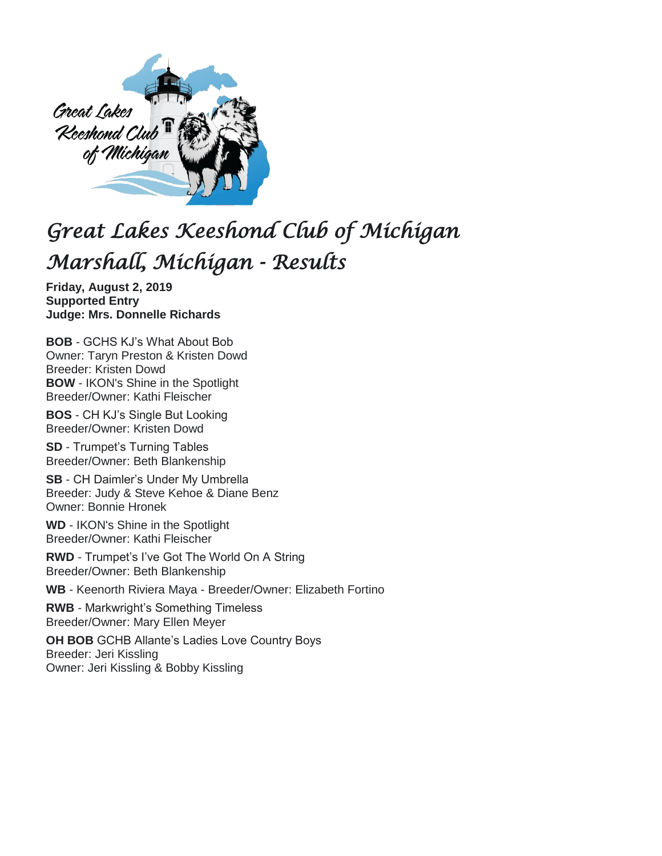

## *Great Lakes Keeshond Club of Michigan Marshall, Michigan - Results*

**Friday, August 2, 2019 Supported Entry Judge: Mrs. Donnelle Richards**

**BOB** - GCHS KJ's What About Bob Owner: Taryn Preston & Kristen Dowd Breeder: Kristen Dowd **BOW** - IKON's Shine in the Spotlight Breeder/Owner: Kathi Fleischer

**BOS** - CH KJ's Single But Looking Breeder/Owner: Kristen Dowd

**SD** - Trumpet's Turning Tables Breeder/Owner: Beth Blankenship

**SB** - CH Daimler's Under My Umbrella Breeder: Judy & Steve Kehoe & Diane Benz Owner: Bonnie Hronek

**WD** - IKON's Shine in the Spotlight Breeder/Owner: Kathi Fleischer

**RWD** - Trumpet's I've Got The World On A String Breeder/Owner: Beth Blankenship

**WB** - Keenorth Riviera Maya - Breeder/Owner: Elizabeth Fortino

**RWB** - Markwright's Something Timeless Breeder/Owner: Mary Ellen Meyer

**OH BOB** GCHB Allante's Ladies Love Country Boys Breeder: Jeri Kissling Owner: Jeri Kissling & Bobby Kissling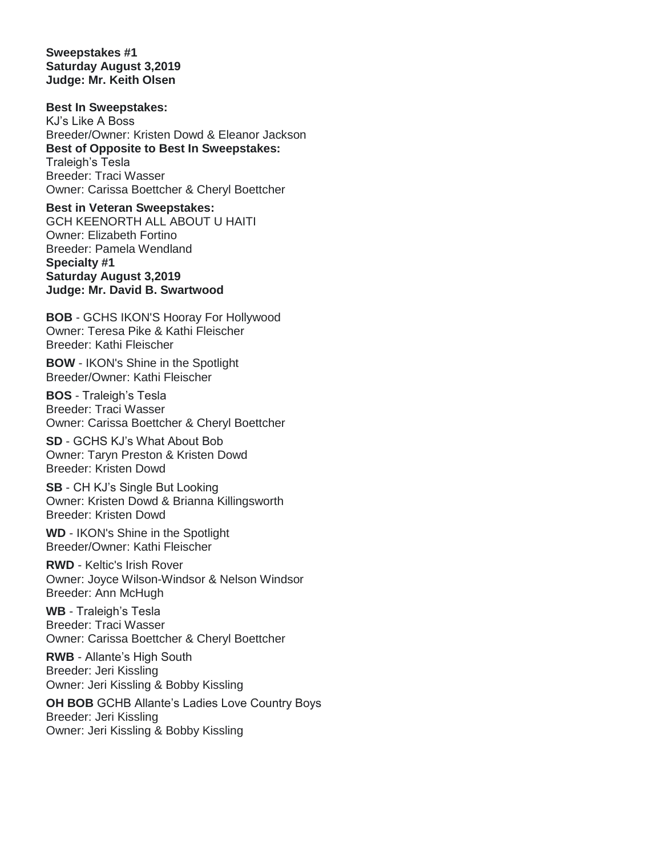**Sweepstakes #1 Saturday August 3,2019 Judge: Mr. Keith Olsen**

**Best In Sweepstakes:** KJ's Like A Boss Breeder/Owner: Kristen Dowd & Eleanor Jackson **Best of Opposite to Best In Sweepstakes:**  Traleigh's Tesla Breeder: Traci Wasser Owner: Carissa Boettcher & Cheryl Boettcher

**Best in Veteran Sweepstakes:** GCH KEENORTH ALL ABOUT U HAITI Owner: Elizabeth Fortino Breeder: Pamela Wendland **Specialty #1 Saturday August 3,2019 Judge: Mr. David B. Swartwood**

**BOB** - GCHS IKON'S Hooray For Hollywood Owner: Teresa Pike & Kathi Fleischer Breeder: Kathi Fleischer

**BOW** - IKON's Shine in the Spotlight Breeder/Owner: Kathi Fleischer

**BOS** - Traleigh's Tesla Breeder: Traci Wasser Owner: Carissa Boettcher & Cheryl Boettcher

**SD** - GCHS KJ's What About Bob Owner: Taryn Preston & Kristen Dowd Breeder: Kristen Dowd

**SB** - CH KJ's Single But Looking Owner: Kristen Dowd & Brianna Killingsworth Breeder: Kristen Dowd

**WD** - IKON's Shine in the Spotlight Breeder/Owner: Kathi Fleischer

**RWD** - Keltic's Irish Rover Owner: Joyce Wilson-Windsor & Nelson Windsor Breeder: Ann McHugh

**WB** - Traleigh's Tesla Breeder: Traci Wasser Owner: Carissa Boettcher & Cheryl Boettcher

**RWB** - Allante's High South Breeder: Jeri Kissling Owner: Jeri Kissling & Bobby Kissling

**OH BOB** GCHB Allante's Ladies Love Country Boys Breeder: Jeri Kissling Owner: Jeri Kissling & Bobby Kissling